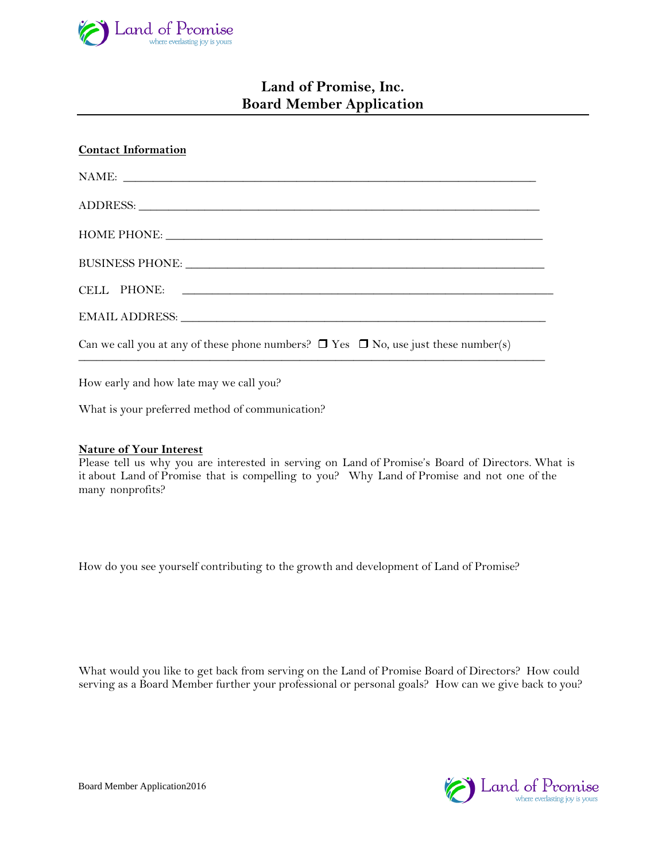

# **Land of Promise, Inc. Board Member Application**

| <b>Contact Information</b>                                                                                                                                                                                                    |
|-------------------------------------------------------------------------------------------------------------------------------------------------------------------------------------------------------------------------------|
| NAME:                                                                                                                                                                                                                         |
|                                                                                                                                                                                                                               |
| HOME PHONE:                                                                                                                                                                                                                   |
|                                                                                                                                                                                                                               |
|                                                                                                                                                                                                                               |
| EMAIL ADDRESS: NATURAL AND RESSERVE AND THE SERIES OF THE SERIES OF THE SERIES OF THE SERIES OF THE SERIES OF THE SERIES OF THE SERIES OF THE SERIES OF THE SERIES OF THE SERIES OF THE SERIES OF THE SERIES OF THE SERIES OF |
| Can we call you at any of these phone numbers? $\Box$ Yes $\Box$ No, use just these number(s)                                                                                                                                 |

How early and how late may we call you?

What is your preferred method of communication?

#### **Nature of Your Interest**

Please tell us why you are interested in serving on Land of Promise's Board of Directors. What is it about Land of Promise that is compelling to you? Why Land of Promise and not one of the many nonprofits?

How do you see yourself contributing to the growth and development of Land of Promise?

What would you like to get back from serving on the Land of Promise Board of Directors? How could serving as a Board Member further your professional or personal goals? How can we give back to you?

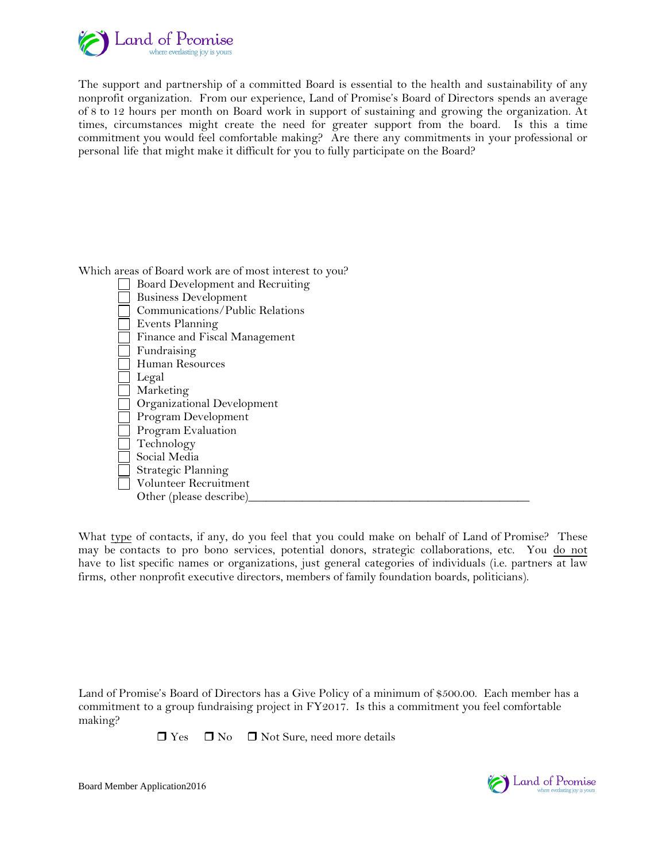

The support and partnership of a committed Board is essential to the health and sustainability of any nonprofit organization. From our experience, Land of Promise's Board of Directors spends an average of 8 to 12 hours per month on Board work in support of sustaining and growing the organization. At times, circumstances might create the need for greater support from the board. Is this a time commitment you would feel comfortable making? Are there any commitments in your professional or personal life that might make it difficult for you to fully participate on the Board?

Which areas of Board work are of most interest to you?



What type of contacts, if any, do you feel that you could make on behalf of Land of Promise? These may be contacts to pro bono services, potential donors, strategic collaborations, etc. You do not have to list specific names or organizations, just general categories of individuals (i.e. partners at law firms, other nonprofit executive directors, members of family foundation boards, politicians).

Land of Promise's Board of Directors has a Give Policy of a minimum of \$500.00. Each member has a commitment to a group fundraising project in FY2017. Is this a commitment you feel comfortable making?

 $\Box$  Yes  $\Box$  No  $\Box$  Not Sure, need more details